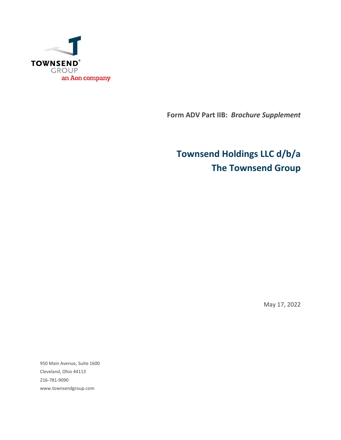

**Form ADV Part IIB:** *Brochure Supplement*

# **Townsend Holdings LLC d/b/a The Townsend Group**

May 17, 2022

950 Main Avenue, Suite 1600 Cleveland, Ohio 44113 216-781-9090 www.townsendgroup.com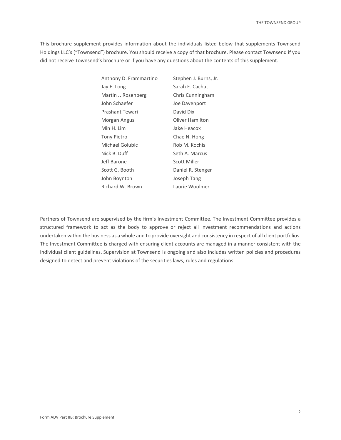This brochure supplement provides information about the individuals listed below that supplements Townsend Holdings LLC's ("Townsend") brochure. You should receive a copy of that brochure. Please contact Townsend if you did not receive Townsend's brochure or if you have any questions about the contents of this supplement.

| Anthony D. Frammartino | Stephen J. Burns, Jr. |
|------------------------|-----------------------|
| Jay E. Long            | Sarah E. Cachat       |
| Martin J. Rosenberg    | Chris Cunningham      |
| John Schaefer          | Joe Davenport         |
| Prashant Tewari        | David Dix             |
| Morgan Angus           | Oliver Hamilton       |
| Min H. Lim             | Jake Heacox           |
| <b>Tony Pietro</b>     | Chae N. Hong          |
| Michael Golubic        | Rob M. Kochis         |
| Nick B. Duff           | Seth A. Marcus        |
| Jeff Barone            | Scott Miller          |
| Scott G. Booth         | Daniel R. Stenger     |
| John Boynton           | Joseph Tang           |
| Richard W. Brown       | Laurie Woolmer        |

Partners of Townsend are supervised by the firm's Investment Committee. The Investment Committee provides a structured framework to act as the body to approve or reject all investment recommendations and actions undertaken within the business as a whole and to provide oversight and consistency in respect of all client portfolios. The Investment Committee is charged with ensuring client accounts are managed in a manner consistent with the individual client guidelines. Supervision at Townsend is ongoing and also includes written policies and procedures designed to detect and prevent violations of the securities laws, rules and regulations.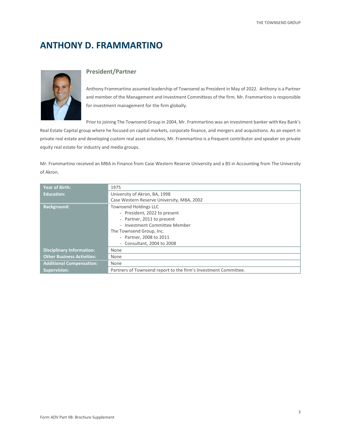# **ANTHONY D. FRAMMARTINO**



#### **President/Partner**

Anthony Frammartino assumed leadership of Townsend as President in May of 2022. Anthony is a Partner and member of the Management and Investment Committees of the firm. Mr. Frammartino is responsible for investment management for the firm globally.

Prior to joining The Townsend Group in 2004, Mr. Frammartino was an investment banker with Key Bank's

Real Estate Capital group where he focused on capital markets, corporate finance, and mergers and acquisitions. As an expert in private real estate and developing custom real asset solutions, Mr. Frammartino is a frequent contributor and speaker on private equity real estate for industry and media groups.

Mr. Frammartino received an MBA in Finance from Case Western Reserve University and a BS in Accounting from The University of Akron.

| <b>Year of Birth:</b>             | 1975                                                            |
|-----------------------------------|-----------------------------------------------------------------|
| <b>Education:</b>                 | University of Akron, BA, 1998                                   |
|                                   | Case Western Reserve University, MBA, 2002                      |
| <b>Background:</b>                | <b>Townsend Holdings LLC</b>                                    |
|                                   | - President, 2022 to present                                    |
|                                   | - Partner, 2011 to present                                      |
|                                   | - Investment Committee Member                                   |
|                                   | The Townsend Group, Inc.                                        |
|                                   | - Partner, 2008 to 2011                                         |
|                                   | Consultant, 2004 to 2008<br>$\overline{\phantom{0}}$            |
| <b>Disciplinary Information:</b>  | None                                                            |
| <b>Other Business Activities:</b> | None                                                            |
| <b>Additional Compensation:</b>   | None                                                            |
| <b>Supervision:</b>               | Partners of Townsend report to the firm's Investment Committee. |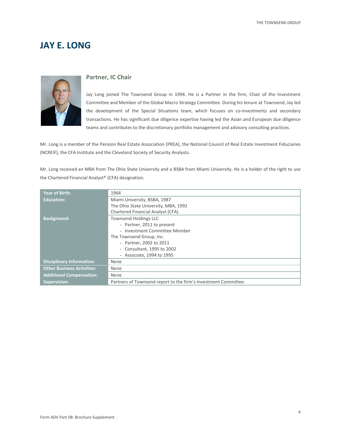### **JAY E. LONG**



#### **Partner, IC Chair**

Jay Long joined The Townsend Group in 1994. He is a Partner in the firm, Chair of the Investment Committee and Member of the Global Macro Strategy Committee. During his tenure at Townsend, Jay led the development of the Special Situations team, which focuses on co-investments and secondary transactions. He has significant due diligence expertise having led the Asian and European due diligence teams and contributes to the discretionary portfolio management and advisory consulting practices.

Mr. Long is a member of the Pension Real Estate Association (PREA), the National Council of Real Estate Investment Fiduciaries (NCREIF), the CFA Institute and the Cleveland Society of Security Analysts.

Mr. Long received an MBA from The Ohio State University and a BSBA from Miami University. He is a holder of the right to use the Chartered Financial Analyst® (CFA) designation.

| <b>Year of Birth:</b>             | 1964                                                            |
|-----------------------------------|-----------------------------------------------------------------|
| <b>Education:</b>                 | Miami University, BSBA, 1987                                    |
|                                   | The Ohio State University, MBA, 1992                            |
|                                   | Chartered Financial Analyst (CFA)                               |
| <b>Background:</b>                | <b>Townsend Holdings LLC</b>                                    |
|                                   | - Partner, 2011 to present                                      |
|                                   | - Investment Committee Member                                   |
|                                   | The Townsend Group, Inc.                                        |
|                                   | - Partner, 2002 to 2011                                         |
|                                   | Consultant, 1995 to 2002<br>$\overline{\phantom{a}}$            |
|                                   | - Associate, 1994 to 1995                                       |
| <b>Disciplinary Information:</b>  | None                                                            |
| <b>Other Business Activities:</b> | None                                                            |
| <b>Additional Compensation:</b>   | None                                                            |
| <b>Supervision:</b>               | Partners of Townsend report to the firm's Investment Committee. |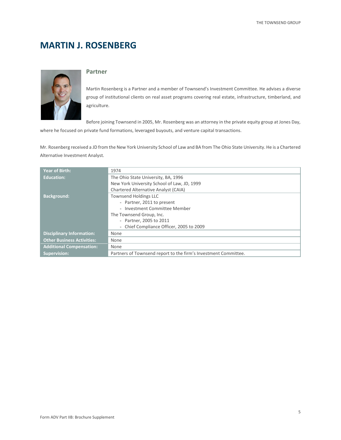# **MARTIN J. ROSENBERG**



#### **Partner**

Martin Rosenberg is a Partner and a member of Townsend's Investment Committee. He advises a diverse group of institutional clients on real asset programs covering real estate, infrastructure, timberland, and agriculture.

Before joining Townsend in 2005, Mr. Rosenberg was an attorney in the private equity group at Jones Day,

where he focused on private fund formations, leveraged buyouts, and venture capital transactions.

Mr. Rosenberg received a JD from the New York University School of Law and BA from The Ohio State University. He is a Chartered Alternative Investment Analyst.

| <b>Year of Birth:</b>             | 1974                                                            |
|-----------------------------------|-----------------------------------------------------------------|
| <b>Education:</b>                 | The Ohio State University, BA, 1996                             |
|                                   | New York University School of Law, JD, 1999                     |
|                                   | Chartered Alternative Analyst (CAIA)                            |
| <b>Background:</b>                | <b>Townsend Holdings LLC</b>                                    |
|                                   | - Partner, 2011 to present                                      |
|                                   | - Investment Committee Member                                   |
|                                   | The Townsend Group, Inc.                                        |
|                                   | - Partner, 2005 to 2011                                         |
|                                   | - Chief Compliance Officer, 2005 to 2009                        |
| <b>Disciplinary Information:</b>  | None                                                            |
| <b>Other Business Activities:</b> | None                                                            |
| <b>Additional Compensation:</b>   | None                                                            |
| <b>Supervision:</b>               | Partners of Townsend report to the firm's Investment Committee. |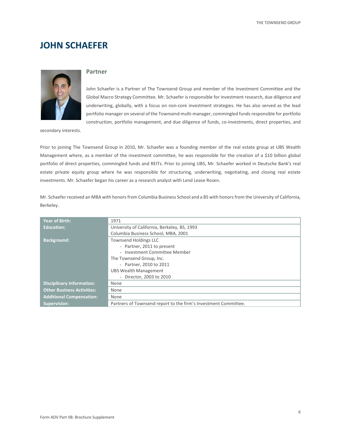### **JOHN SCHAEFER**



#### **Partner**

John Schaefer is a Partner of The Townsend Group and member of the Investment Committee and the Global Macro Strategy Committee. Mr. Schaefer is responsible for investment research, due diligence and underwriting, globally, with a focus on non-core investment strategies. He has also served as the lead portfolio manager on several of the Townsend multi-manager, commingled funds responsible for portfolio construction, portfolio management, and due diligence of funds, co-investments, direct properties, and

secondary interests.

Prior to joining The Townsend Group in 2010, Mr. Schaefer was a founding member of the real estate group at UBS Wealth Management where, as a member of the investment committee, he was responsible for the creation of a \$10 billion global portfolio of direct properties, commingled funds and REITs. Prior to joining UBS, Mr. Schaefer worked in Deutsche Bank's real estate private equity group where he was responsible for structuring, underwriting, negotiating, and closing real estate investments. Mr. Schaefer began his career as a research analyst with Lend Lease Rosen.

Mr. Schaefer received an MBA with honors from Columbia Business School and a BS with honors from the University of California, Berkeley.

| <b>Year of Birth:</b>             | 1971                                                            |
|-----------------------------------|-----------------------------------------------------------------|
| <b>Education:</b>                 | University of California, Berkeley, BS, 1993                    |
|                                   | Columbia Business School, MBA, 2001                             |
| <b>Background:</b>                | <b>Townsend Holdings LLC</b>                                    |
|                                   | - Partner, 2011 to present                                      |
|                                   | - Investment Committee Member                                   |
|                                   | The Townsend Group, Inc.                                        |
|                                   | - Partner, 2010 to 2011                                         |
|                                   | <b>UBS Wealth Management</b>                                    |
|                                   | - Director, 2003 to 2010                                        |
| <b>Disciplinary Information:</b>  | None                                                            |
| <b>Other Business Activities:</b> | None                                                            |
| <b>Additional Compensation:</b>   | None                                                            |
| <b>Supervision:</b>               | Partners of Townsend report to the firm's Investment Committee. |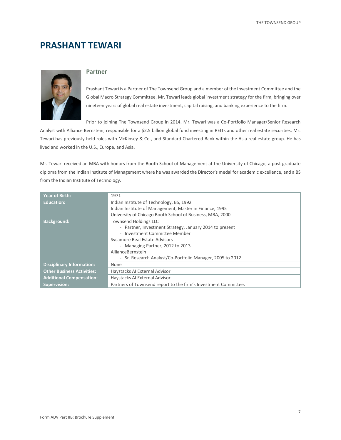### **PRASHANT TEWARI**



#### **Partner**

Prashant Tewari is a Partner of The Townsend Group and a member of the Investment Committee and the Global Macro Strategy Committee. Mr. Tewari leads global investment strategy for the firm, bringing over nineteen years of global real estate investment, capital raising, and banking experience to the firm.

Prior to joining The Townsend Group in 2014, Mr. Tewari was a Co-Portfolio Manager/Senior Research

Analyst with Alliance Bernstein, responsible for a \$2.5 billion global fund investing in REITs and other real estate securities. Mr. Tewari has previously held roles with McKinsey & Co., and Standard Chartered Bank within the Asia real estate group. He has lived and worked in the U.S., Europe, and Asia.

Mr. Tewari received an MBA with honors from the Booth School of Management at the University of Chicago, a post-graduate diploma from the Indian Institute of Management where he was awarded the Director's medal for academic excellence, and a BS from the Indian Institute of Technology.

| <b>Year of Birth:</b>             | 1971                                                            |
|-----------------------------------|-----------------------------------------------------------------|
| <b>Education:</b>                 | Indian Institute of Technology, BS, 1992                        |
|                                   | Indian Institute of Management, Master in Finance, 1995         |
|                                   | University of Chicago Booth School of Business, MBA, 2000       |
| <b>Background:</b>                | <b>Townsend Holdings LLC</b>                                    |
|                                   | - Partner, Investment Strategy, January 2014 to present         |
|                                   | - Investment Committee Member                                   |
|                                   | Sycamore Real Estate Advisors                                   |
|                                   | - Managing Partner, 2012 to 2013                                |
|                                   | AllianceBernstein                                               |
|                                   | - Sr. Research Analyst/Co-Portfolio Manager, 2005 to 2012       |
| <b>Disciplinary Information:</b>  | None                                                            |
| <b>Other Business Activities:</b> | Haystacks AI External Advisor                                   |
| <b>Additional Compensation:</b>   | Haystacks AI External Advisor                                   |
| <b>Supervision:</b>               | Partners of Townsend report to the firm's Investment Committee. |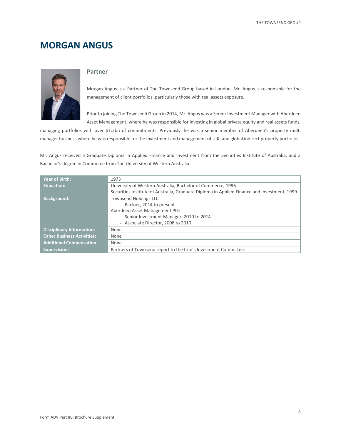# **MORGAN ANGUS**



#### **Partner**

Morgan Angus is a Partner of The Townsend Group based in London. Mr. Angus is responsible for the management of client portfolios, particularly those with real assets exposure.

Prior to joining The Townsend Group in 2014, Mr. Angus was a Senior Investment Manager with Aberdeen Asset Management, where he was responsible for investing in global private equity and real assets funds,

managing portfolios with over \$1.2bn of commitments. Previously, he was a senior member of Aberdeen's property multi manager business where he was responsible for the investment and management of U.K. and global indirect property portfolios.

Mr. Angus received a Graduate Diploma in Applied Finance and Investment from the Securities Institute of Australia, and a Bachelor's degree in Commerce from The University of Western Australia.

| Year of Birth:                    | 1973                                                                                        |
|-----------------------------------|---------------------------------------------------------------------------------------------|
| Education:                        | University of Western Australia, Bachelor of Commerce, 1996                                 |
|                                   | Securities Institute of Australia, Graduate Diploma in Applied Finance and Investment, 1999 |
| <b>Background:</b>                | <b>Townsend Holdings LLC</b>                                                                |
|                                   | - Partner, 2014 to present                                                                  |
|                                   | Aberdeen Asset Management PLC                                                               |
|                                   | - Senior Investment Manager, 2010 to 2014                                                   |
|                                   | - Associate Director, 2008 to 2010                                                          |
| <b>Disciplinary Information:</b>  | None                                                                                        |
| <b>Other Business Activities:</b> | None                                                                                        |
| <b>Additional Compensation:</b>   | None                                                                                        |
| <b>Supervision:</b>               | Partners of Townsend report to the firm's Investment Committee.                             |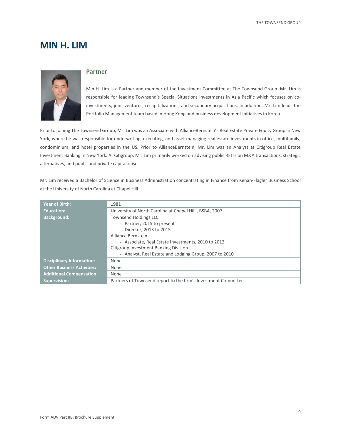### **MIN H. LIM**



#### **Partner**

Min H. Lim is a Partner and member of the Investment Committee at The Townsend Group. Mr. Lim is responsible for leading Townsend's Special Situations investments in Asia Pacific which focuses on coinvestments, joint ventures, recapitalizations, and secondary acquisitions. In addition, Mr. Lim leads the Portfolio Management team based in Hong Kong and business development initiatives in Korea.

Prior to joining The Townsend Group, Mr. Lim was an Associate with AllianceBernstein's Real Estate Private Equity Group in New York, where he was responsible for underwriting, executing, and asset managing real estate investments in office, multifamily, condominium, and hotel properties in the US. Prior to AllianceBernstein, Mr. Lim was an Analyst at Citigroup Real Estate Investment Banking in New York. At Citigroup, Mr. Lim primarily worked on advising public REITs on M&A transactions, strategic alternatives, and public and private capital raise.

Mr. Lim received a Bachelor of Science in Business Administration concentrating in Finance from Kenan-Flagler Business School at the University of North Carolina at Chapel Hill.

| <b>Year of Birth:</b>             | 1981                                                            |
|-----------------------------------|-----------------------------------------------------------------|
| <b>Education:</b>                 | University of North Carolina at Chapel Hill, BSBA, 2007         |
| <b>Background:</b>                | <b>Townsend Holdings LLC</b>                                    |
|                                   | - Partner, 2015 to present                                      |
|                                   | Director, 2013 to 2015<br>$\overline{\phantom{a}}$              |
|                                   | Alliance Bernstein                                              |
|                                   | - Associate, Real Estate Investments, 2010 to 2012              |
|                                   | Citigroup Investment Banking Division                           |
|                                   | - Analyst, Real Estate and Lodging Group, 2007 to 2010          |
| <b>Disciplinary Information:</b>  | None                                                            |
| <b>Other Business Activities:</b> | None                                                            |
| <b>Additional Compensation:</b>   | None                                                            |
| <b>Supervision:</b>               | Partners of Townsend report to the firm's Investment Committee. |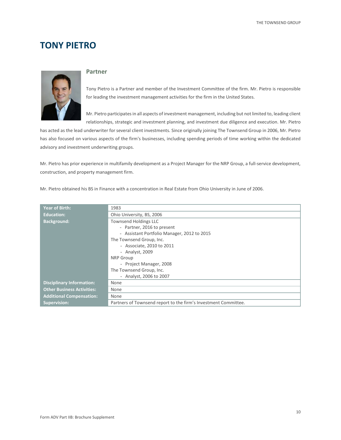### **TONY PIETRO**



#### **Partner**

Tony Pietro is a Partner and member of the Investment Committee of the firm. Mr. Pietro is responsible for leading the investment management activities for the firm in the United States.

Mr. Pietro participates in all aspects of investment management, including but not limited to, leading client relationships, strategic and investment planning, and investment due diligence and execution. Mr. Pietro

has acted as the lead underwriter for several client investments. Since originally joining The Townsend Group in 2006, Mr. Pietro has also focused on various aspects of the firm's businesses, including spending periods of time working within the dedicated advisory and investment underwriting groups.

Mr. Pietro has prior experience in multifamily development as a Project Manager for the NRP Group, a full-service development, construction, and property management firm.

| Mr. Pietro obtained his BS in Finance with a concentration in Real Estate from Ohio University in June of 2006. |  |
|-----------------------------------------------------------------------------------------------------------------|--|
|-----------------------------------------------------------------------------------------------------------------|--|

| <b>Year of Birth:</b>             | 1983                                                            |
|-----------------------------------|-----------------------------------------------------------------|
| <b>Education:</b>                 | Ohio University, BS, 2006                                       |
| <b>Background:</b>                | <b>Townsend Holdings LLC</b>                                    |
|                                   | - Partner, 2016 to present                                      |
|                                   | - Assistant Portfolio Manager, 2012 to 2015                     |
|                                   | The Townsend Group, Inc.                                        |
|                                   | - Associate, 2010 to 2011                                       |
|                                   | - Analyst, 2009                                                 |
|                                   | <b>NRP</b> Group                                                |
|                                   | - Project Manager, 2008                                         |
|                                   | The Townsend Group, Inc.                                        |
|                                   | - Analyst, 2006 to 2007                                         |
| <b>Disciplinary Information:</b>  | None                                                            |
| <b>Other Business Activities:</b> | None                                                            |
| <b>Additional Compensation:</b>   | None                                                            |
| <b>Supervision:</b>               | Partners of Townsend report to the firm's Investment Committee. |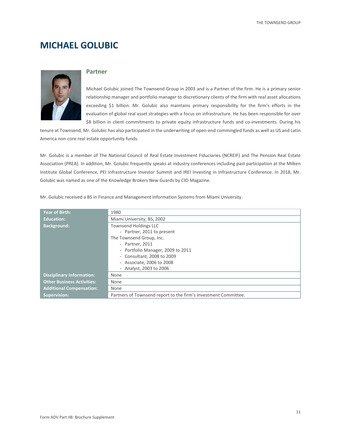# **MICHAEL GOLUBIC**



#### **Partner**

Michael Golubic joined The Townsend Group in 2003 and is a Partner of the firm. He is a primary senior relationship manager and portfolio manager to discretionary clients of the firm with real asset allocations exceeding \$1 billion. Mr. Golubic also maintains primary responsibility for the firm's efforts in the evaluation of global real asset strategies with a focus on infrastructure. He has been responsible for over \$8 billion in client commitments to private equity infrastructure funds and co-investments. During his

tenure at Townsend, Mr. Golubic has also participated in the underwriting of open-end commingled funds as well as US and Latin America non-core real estate opportunity funds.

Mr. Golubic is a member of The National Council of Real Estate Investment Fiduciaries (NCREIF) and The Pension Real Estate Association (PREA). In addition, Mr. Golubic frequently speaks at industry conferences including past participation at the Milken Institute Global Conference, PEI Infrastructure Investor Summit and IREI Investing in Infrastructure Conference. In 2018, Mr. Golubic was named as one of the Knowledge Brokers New Guards by CIO Magazine.

| <b>Year of Birth:</b>             | 1980                                                            |
|-----------------------------------|-----------------------------------------------------------------|
| <b>Education:</b>                 | Miami University, BS, 2002                                      |
| <b>Background:</b>                | <b>Townsend Holdings LLC</b>                                    |
|                                   | - Partner, 2011 to present                                      |
|                                   | The Townsend Group, Inc.                                        |
|                                   | - Partner, 2011                                                 |
|                                   | - Portfolio Manager, 2009 to 2011                               |
|                                   | - Consultant, 2008 to 2009                                      |
|                                   | - Associate, 2006 to 2008                                       |
|                                   | - Analyst, 2003 to 2006                                         |
| <b>Disciplinary Information:</b>  | None                                                            |
| <b>Other Business Activities:</b> | None                                                            |
| <b>Additional Compensation:</b>   | None                                                            |
| <b>Supervision:</b>               | Partners of Townsend report to the firm's Investment Committee. |

Mr. Golubic received a BS in Finance and Management Information Systems from Miami University.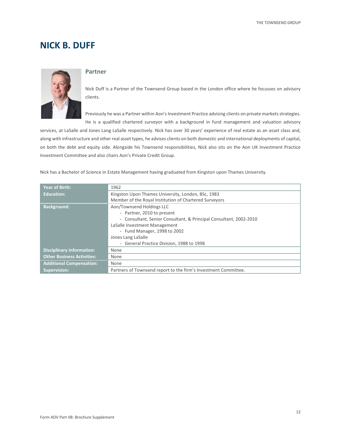### **NICK B. DUFF**



#### **Partner**

Nick Duff is a Partner of the Townsend Group based in the London office where he focusses on advisory clients.

Previously he was a Partner within Aon's Investment Practice advising clients on private markets strategies. He is a qualified chartered surveyor with a background in fund management and valuation advisory

services, at LaSalle and Jones Lang LaSalle respectively. Nick has over 30 years' experience of real estate as an asset class and, along with infrastructure and other real asset types, he advises clients on both domestic and international deployments of capital, on both the debt and equity side. Alongside his Townsend responsibilities, Nick also sits on the Aon UK Investment Practice Investment Committee and also chairs Aon's Private Credit Group.

Nick has a Bachelor of Science in Estate Management having graduated from Kingston upon Thames University.

| <b>Year of Birth:</b>             | 1962                                                               |
|-----------------------------------|--------------------------------------------------------------------|
| <b>Education:</b>                 | Kingston Upon Thames University, London, BSc, 1983                 |
|                                   | Member of the Royal Institution of Chartered Surveyors             |
| <b>Background:</b>                | Aon/Townsend Holdings LLC                                          |
|                                   | - Partner, 2010 to present                                         |
|                                   | - Consultant, Senior Consultant, & Principal Consultant, 2002-2010 |
|                                   | LaSalle Investment Management                                      |
|                                   | - Fund Manager, 1998 to 2002                                       |
|                                   | Jones Lang LaSalle                                                 |
|                                   | - General Practice Division, 1988 to 1998                          |
| <b>Disciplinary Information:</b>  | None                                                               |
| <b>Other Business Activities:</b> | None                                                               |
| <b>Additional Compensation:</b>   | None                                                               |
| <b>Supervision:</b>               | Partners of Townsend report to the firm's Investment Committee.    |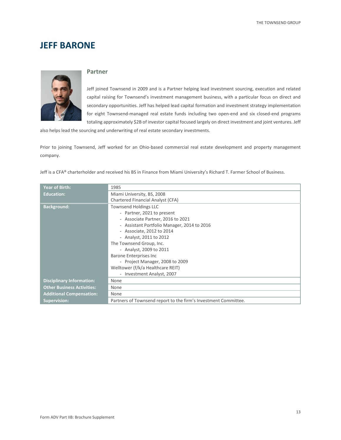### **JEFF BARONE**



#### **Partner**

Jeff joined Townsend in 2009 and is a Partner helping lead investment sourcing, execution and related capital raising for Townsend's investment management business, with a particular focus on direct and secondary opportunities. Jeff has helped lead capital formation and investment strategy implementation for eight Townsend-managed real estate funds including two open-end and six closed-end programs totaling approximately \$2B of investor capital focused largely on direct investment and joint ventures. Jeff

also helps lead the sourcing and underwriting of real estate secondary investments.

Prior to joining Townsend, Jeff worked for an Ohio-based commercial real estate development and property management company.

| <b>Year of Birth:</b>             | 1985                                                            |
|-----------------------------------|-----------------------------------------------------------------|
| <b>Education:</b>                 | Miami University, BS, 2008                                      |
|                                   | Chartered Financial Analyst (CFA)                               |
| <b>Background:</b>                | <b>Townsend Holdings LLC</b>                                    |
|                                   | - Partner, 2021 to present                                      |
|                                   | - Associate Partner, 2016 to 2021                               |
|                                   | - Assistant Portfolio Manager, 2014 to 2016                     |
|                                   | - Associate, 2012 to 2014                                       |
|                                   | - Analyst, 2011 to 2012                                         |
|                                   | The Townsend Group, Inc.                                        |
|                                   | - Analyst, 2009 to 2011                                         |
|                                   | <b>Barone Enterprises Inc</b>                                   |
|                                   | - Project Manager, 2008 to 2009                                 |
|                                   | Welltower (f/k/a Healthcare REIT)                               |
|                                   | - Investment Analyst, 2007                                      |
| <b>Disciplinary Information:</b>  | None                                                            |
| <b>Other Business Activities:</b> | None                                                            |
| <b>Additional Compensation:</b>   | None                                                            |
| <b>Supervision:</b>               | Partners of Townsend report to the firm's Investment Committee. |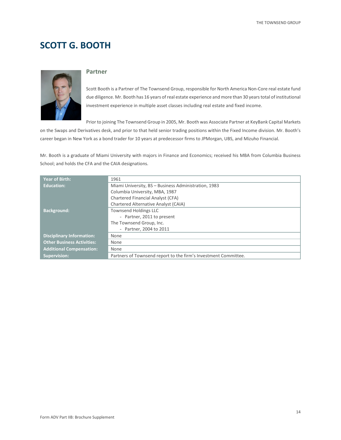# **SCOTT G. BOOTH**



#### **Partner**

Scott Booth is a Partner of The Townsend Group, responsible for North America Non-Core real estate fund due diligence. Mr. Booth has 16 years of real estate experience and more than 30 years total of institutional investment experience in multiple asset classes including real estate and fixed income.

Prior to joining The Townsend Group in 2005, Mr. Booth was Associate Partner at KeyBank Capital Markets

on the Swaps and Derivatives desk, and prior to that held senior trading positions within the Fixed Income division. Mr. Booth's career began in New York as a bond trader for 10 years at predecessor firms to JPMorgan, UBS, and Mizuho Financial.

Mr. Booth is a graduate of Miami University with majors in Finance and Economics; received his MBA from Columbia Business School; and holds the CFA and the CAIA designations.

| <b>Year of Birth:</b>             | 1961                                                            |
|-----------------------------------|-----------------------------------------------------------------|
| Education:                        | Miami University, BS - Business Administration, 1983            |
|                                   | Columbia University, MBA, 1987                                  |
|                                   | Chartered Financial Analyst (CFA)                               |
|                                   | Chartered Alternative Analyst (CAIA)                            |
| <b>Background:</b>                | <b>Townsend Holdings LLC</b>                                    |
|                                   | - Partner, 2011 to present                                      |
|                                   | The Townsend Group, Inc.                                        |
|                                   | - Partner, 2004 to 2011                                         |
| <b>Disciplinary Information:</b>  | None                                                            |
| <b>Other Business Activities:</b> | None                                                            |
| <b>Additional Compensation:</b>   | None                                                            |
| <b>Supervision:</b>               | Partners of Townsend report to the firm's Investment Committee. |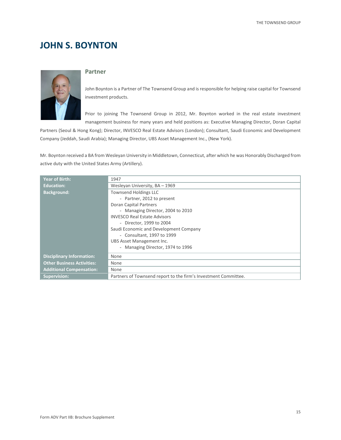# **JOHN S. BOYNTON**



#### **Partner**

John Boynton is a Partner of The Townsend Group and is responsible for helping raise capital for Townsend investment products.

Prior to joining The Townsend Group in 2012, Mr. Boynton worked in the real estate investment management business for many years and held positions as: Executive Managing Director, Doran Capital

Partners (Seoul & Hong Kong); Director, INVESCO Real Estate Advisors (London); Consultant, Saudi Economic and Development Company (Jeddah, Saudi Arabia); Managing Director, UBS Asset Management Inc., (New York).

Mr. Boynton received a BA from Wesleyan University in Middletown, Connecticut, after which he was Honorably Discharged from active duty with the United States Army (Artillery).

| <b>Year of Birth:</b>             | 1947                                                            |
|-----------------------------------|-----------------------------------------------------------------|
| <b>Education:</b>                 | Wesleyan University, BA - 1969                                  |
| <b>Background:</b>                | <b>Townsend Holdings LLC</b>                                    |
|                                   | - Partner, 2012 to present                                      |
|                                   | Doran Capital Partners                                          |
|                                   | - Managing Director, 2004 to 2010                               |
|                                   | <b>INVESCO Real Estate Advisors</b>                             |
|                                   | - Director, 1999 to 2004                                        |
|                                   | Saudi Economic and Development Company                          |
|                                   | - Consultant, 1997 to 1999                                      |
|                                   | UBS Asset Management Inc.                                       |
|                                   | - Managing Director, 1974 to 1996                               |
| <b>Disciplinary Information:</b>  | None                                                            |
| <b>Other Business Activities:</b> | None                                                            |
| <b>Additional Compensation:</b>   | None                                                            |
| <b>Supervision:</b>               | Partners of Townsend report to the firm's Investment Committee. |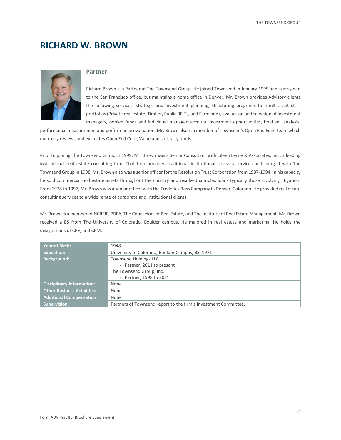### **RICHARD W. BROWN**



#### **Partner**

Richard Brown is a Partner at The Townsend Group. He joined Townsend in January 1999 and is assigned to the San Francisco office, but maintains a home office in Denver. Mr. Brown provides Advisory clients the following services: strategic and investment planning, structuring programs for multi-asset class portfolios (Private real estate, Timber, Public REITs, and Farmland), evaluation and selection of investment managers, pooled funds and individual managed account investment opportunities, hold sell analysis,

performance measurement and performance evaluation. Mr. Brown also is a member of Townsend's Open End Fund team which quarterly reviews and evaluates Open End Core, Value and specialty funds.

Prior to joining The Townsend Group in 1999, Mr. Brown was a Senior Consultant with Eileen Byrne & Associates, Inc., a leading institutional real estate consulting firm. That firm provided traditional institutional advisory services and merged with The Townsend Group in 1998. Mr. Brown also was a senior officer for the Resolution Trust Corporation from 1987-1994. In his capacity he sold commercial real estate assets throughout the country and resolved complex loans typically those involving litigation. From 1978 to 1997, Mr. Brown was a senior officer with the Frederick Ross Company in Denver, Colorado. He provided real estate consulting services to a wide range of corporate and institutional clients.

Mr. Brown is a member of NCREIF, PREA, The Counselors of Real Estate, and The Institute of Real Estate Management. Mr. Brown received a BS from The University of Colorado, Boulder campus. He majored in real estate and marketing. He holds the designations of CRE, and CPM.

| <b>Year of Birth:</b>             | 1948                                                            |
|-----------------------------------|-----------------------------------------------------------------|
| Education:                        | University of Colorado, Boulder Campus, BS, 1971                |
| <b>Background:</b>                | <b>Townsend Holdings LLC</b>                                    |
|                                   | - Partner, 2011 to present                                      |
|                                   | The Townsend Group, Inc.                                        |
|                                   | - Partner, 1998 to 2011                                         |
| <b>Disciplinary Information:</b>  | None                                                            |
| <b>Other Business Activities:</b> | None                                                            |
| <b>Additional Compensation:</b>   | None                                                            |
| Supervision:                      | Partners of Townsend report to the firm's Investment Committee. |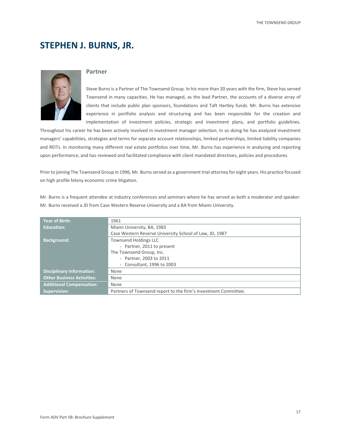## **STEPHEN J. BURNS, JR.**



#### **Partner**

Steve Burns is a Partner of The Townsend Group. In his more than 20 years with the firm, Steve has served Townsend in many capacities. He has managed, as the lead Partner, the accounts of a diverse array of clients that include public plan sponsors, foundations and Taft Hartley funds. Mr. Burns has extensive experience in portfolio analysis and structuring and has been responsible for the creation and implementation of investment policies, strategic and investment plans, and portfolio guidelines.

Throughout his career he has been actively involved in investment manager selection. In so doing he has analyzed investment managers' capabilities, strategies and terms for separate account relationships, limited partnerships, limited liability companies and REITs. In monitoring many different real estate portfolios over time, Mr. Burns has experience in analyzing and reporting upon performance, and has reviewed and facilitated compliance with client mandated directives, policies and procedures.

Prior to joining The Townsend Group in 1996, Mr. Burns served as a government trial attorney for eight years. His practice focused on high profile felony economic crime litigation.

Mr. Burns is a frequent attendee at industry conferences and seminars where he has served as both a moderator and speaker. Mr. Burns received a JD from Case Western Reserve University and a BA from Miami University.

| <b>Year of Birth:</b>             | 1961                                                            |
|-----------------------------------|-----------------------------------------------------------------|
| <b>Education:</b>                 | Miami University, BA, 1983                                      |
|                                   | Case Western Reserve University School of Law, JD, 1987         |
| <b>Background:</b>                | <b>Townsend Holdings LLC</b>                                    |
|                                   | - Partner, 2011 to present                                      |
|                                   | The Townsend Group, Inc.                                        |
|                                   | - Partner, 2003 to 2011                                         |
|                                   | - Consultant, 1996 to 2003                                      |
| <b>Disciplinary Information:</b>  | None                                                            |
| <b>Other Business Activities:</b> | None                                                            |
| <b>Additional Compensation:</b>   | None                                                            |
| <b>Supervision:</b>               | Partners of Townsend report to the firm's Investment Committee. |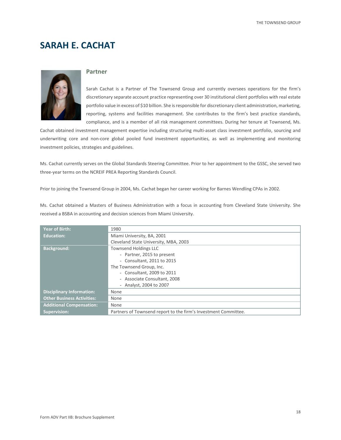# **SARAH E. CACHAT**



#### **Partner**

Sarah Cachat is a Partner of The Townsend Group and currently oversees operations for the firm's discretionary separate account practice representing over 30 institutional client portfolios with real estate portfolio value in excess of \$10 billion. She is responsible for discretionary client administration, marketing, reporting, systems and facilities management. She contributes to the firm's best practice standards, compliance, and is a member of all risk management committees. During her tenure at Townsend, Ms.

Cachat obtained investment management expertise including structuring multi-asset class investment portfolio, sourcing and underwriting core and non-core global pooled fund investment opportunities, as well as implementing and monitoring investment policies, strategies and guidelines.

Ms. Cachat currently serves on the Global Standards Steering Committee. Prior to her appointment to the GSSC, she served two three-year terms on the NCREIF PREA Reporting Standards Council.

Prior to joining the Townsend Group in 2004, Ms. Cachat began her career working for Barnes Wendling CPAs in 2002.

Ms. Cachat obtained a Masters of Business Administration with a focus in accounting from Cleveland State University. She received a BSBA in accounting and decision sciences from Miami University.

| <b>Year of Birth:</b>             | 1980                                                            |
|-----------------------------------|-----------------------------------------------------------------|
| <b>Education:</b>                 | Miami University, BA, 2001                                      |
|                                   | Cleveland State University, MBA, 2003                           |
| <b>Background:</b>                | <b>Townsend Holdings LLC</b>                                    |
|                                   | - Partner, 2015 to present                                      |
|                                   | - Consultant, 2011 to 2015                                      |
|                                   | The Townsend Group, Inc.                                        |
|                                   | - Consultant, 2009 to 2011                                      |
|                                   | - Associate Consultant, 2008                                    |
|                                   | - Analyst, 2004 to 2007                                         |
| <b>Disciplinary Information:</b>  | None                                                            |
| <b>Other Business Activities:</b> | None                                                            |
| <b>Additional Compensation:</b>   | None                                                            |
| <b>Supervision:</b>               | Partners of Townsend report to the firm's Investment Committee. |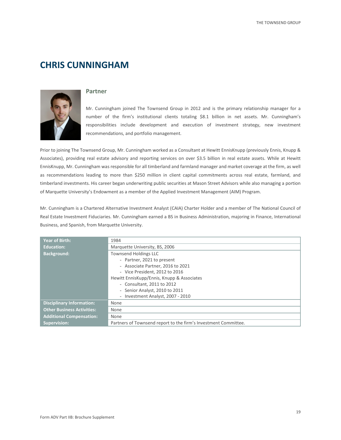# **CHRIS CUNNINGHAM**



#### **Partner**

Mr. Cunningham joined The Townsend Group in 2012 and is the primary relationship manager for a number of the firm's institutional clients totaling \$8.1 billion in net assets. Mr. Cunningham's responsibilities include development and execution of investment strategy, new investment recommendations, and portfolio management.

Prior to joining The Townsend Group, Mr. Cunningham worked as a Consultant at Hewitt EnnisKnupp (previously Ennis, Knupp & Associates), providing real estate advisory and reporting services on over \$3.5 billion in real estate assets. While at Hewitt EnnisKnupp, Mr. Cunningham was responsible for all timberland and farmland manager and market coverage at the firm, as well as recommendations leading to more than \$250 million in client capital commitments across real estate, farmland, and timberland investments. His career began underwriting public securities at Mason Street Advisors while also managing a portion of Marquette University's Endowment as a member of the Applied Investment Management (AIM) Program.

Mr. Cunningham is a Chartered Alternative Investment Analyst (CAIA) Charter Holder and a member of The National Council of Real Estate Investment Fiduciaries. Mr. Cunningham earned a BS in Business Administration, majoring in Finance, International Business, and Spanish, from Marquette University.

| <b>Year of Birth:</b>             | 1984                                                                                                                                                                                                                                            |
|-----------------------------------|-------------------------------------------------------------------------------------------------------------------------------------------------------------------------------------------------------------------------------------------------|
| <b>Education:</b>                 | Marquette University, BS, 2006                                                                                                                                                                                                                  |
| <b>Background:</b>                | <b>Townsend Holdings LLC</b><br>- Partner, 2021 to present<br>- Associate Partner, 2016 to 2021<br>- Vice President, 2012 to 2016<br>Hewitt EnnisKupp/Ennis, Knupp & Associates<br>- Consultant, 2011 to 2012<br>- Senior Analyst, 2010 to 2011 |
|                                   | - Investment Analyst, 2007 - 2010                                                                                                                                                                                                               |
| <b>Disciplinary Information:</b>  | None                                                                                                                                                                                                                                            |
| <b>Other Business Activities:</b> | None                                                                                                                                                                                                                                            |
| <b>Additional Compensation:</b>   | None                                                                                                                                                                                                                                            |
| <b>Supervision:</b>               | Partners of Townsend report to the firm's Investment Committee.                                                                                                                                                                                 |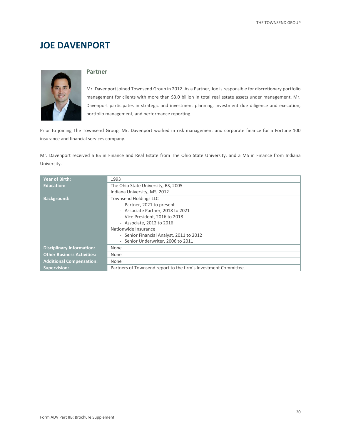# **JOE DAVENPORT**



#### **Partner**

Mr. Davenport joined Townsend Group in 2012. As a Partner, Joe is responsible for discretionary portfolio management for clients with more than \$3.0 billion in total real estate assets under management. Mr. Davenport participates in strategic and investment planning, investment due diligence and execution, portfolio management, and performance reporting.

Prior to joining The Townsend Group, Mr. Davenport worked in risk management and corporate finance for a Fortune 100 insurance and financial services company.

Mr. Davenport received a BS in Finance and Real Estate from The Ohio State University, and a MS in Finance from Indiana University.

| <b>Year of Birth:</b>             | 1993                                                            |
|-----------------------------------|-----------------------------------------------------------------|
| <b>Education:</b>                 | The Ohio State University, BS, 2005                             |
|                                   | Indiana University, MS, 2012                                    |
| <b>Background:</b>                | <b>Townsend Holdings LLC</b>                                    |
|                                   | - Partner, 2021 to present                                      |
|                                   | - Associate Partner, 2018 to 2021                               |
|                                   | - Vice President, 2016 to 2018                                  |
|                                   | - Associate, 2012 to 2016                                       |
|                                   | Nationwide Insurance                                            |
|                                   | - Senior Financial Analyst, 2011 to 2012                        |
|                                   | - Senior Underwriter, 2006 to 2011                              |
| <b>Disciplinary Information:</b>  | None                                                            |
| <b>Other Business Activities:</b> | None                                                            |
| <b>Additional Compensation:</b>   | None                                                            |
| <b>Supervision:</b>               | Partners of Townsend report to the firm's Investment Committee. |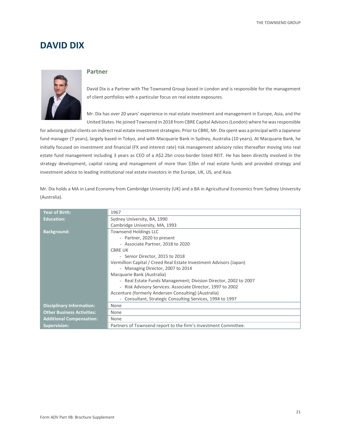### **DAVID DIX**



#### **Partner**

David Dix is a Partner with The Townsend Group based in London and is responsible for the management of client portfolios with a particular focus on real estate exposures.

Mr. Dix has over 20 years' experience in real estate investment and management in Europe, Asia, and the United States. He joined Townsend in 2018 from CBRE Capital Advisors (London) where he was responsible

for advising global clients on indirect real estate investment strategies. Prior to CBRE, Mr. Dix spent was a principal with a Japanese fund manager (7 years), largely based in Tokyo, and with Macquarie Bank in Sydney, Australia (10 years). At Macquarie Bank, he initially focused on investment and financial (FX and interest rate) risk management advisory roles thereafter moving into real estate fund management including 3 years as CEO of a A\$2.2bn cross-border listed REIT. He has been directly involved in the strategy development, capital raising and management of more than \$3bn of real estate funds and provided strategy and investment advice to leading institutional real estate investors in the Europe, UK, US, and Asia.

Mr. Dix holds a MA in Land Economy from Cambridge University (UK) and a BA in Agricultural Economics from Sydney University (Australia).

| <b>Year of Birth:</b>             | 1967                                                               |
|-----------------------------------|--------------------------------------------------------------------|
| <b>Education:</b>                 | Sydney University, BA, 1990                                        |
|                                   | Cambridge University, MA, 1993                                     |
| <b>Background:</b>                | <b>Townsend Holdings LLC</b>                                       |
|                                   | - Partner, 2020 to present                                         |
|                                   | - Associate Partner, 2018 to 2020                                  |
|                                   | <b>CBRE UK</b>                                                     |
|                                   | - Senior Director, 2015 to 2018                                    |
|                                   | Vermillion Capital / Creed Real Estate Investment Advisors (Japan) |
|                                   | - Managing Director, 2007 to 2014                                  |
|                                   | Macquarie Bank (Australia)                                         |
|                                   | - Real Estate Funds Management; Division Director, 2002 to 2007    |
|                                   | - Risk Advisory Services: Associate Director, 1997 to 2002         |
|                                   | Accenture (formerly Andersen Consulting) (Australia)               |
|                                   | - Consultant, Strategic Consulting Services, 1994 to 1997          |
| <b>Disciplinary Information:</b>  | None                                                               |
| <b>Other Business Activities:</b> | None                                                               |
| <b>Additional Compensation:</b>   | None                                                               |
| <b>Supervision:</b>               | Partners of Townsend report to the firm's Investment Committee.    |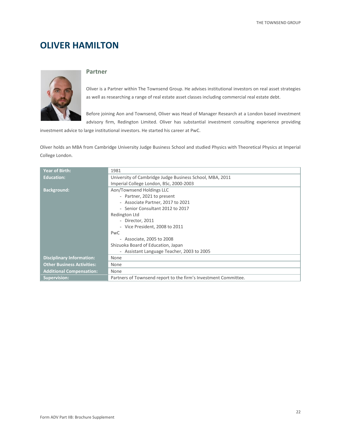# **OLIVER HAMILTON**



#### **Partner**

Oliver is a Partner within The Townsend Group. He advises institutional investors on real asset strategies as well as researching a range of real estate asset classes including commercial real estate debt.

Before joining Aon and Townsend, Oliver was Head of Manager Research at a London based investment advisory firm, Redington Limited. Oliver has substantial investment consulting experience providing

investment advice to large institutional investors. He started his career at PwC.

Oliver holds an MBA from Cambridge University Judge Business School and studied Physics with Theoretical Physics at Imperial College London.

| <b>Year of Birth:</b>             | 1981                                                            |
|-----------------------------------|-----------------------------------------------------------------|
| <b>Education:</b>                 | University of Cambridge Judge Business School, MBA, 2011        |
|                                   | Imperial College London, BSc, 2000-2003                         |
| <b>Background:</b>                | Aon/Townsend Holdings LLC                                       |
|                                   | - Partner, 2021 to present                                      |
|                                   | - Associate Partner, 2017 to 2021                               |
|                                   | - Senior Consultant 2012 to 2017                                |
|                                   | Redington Ltd                                                   |
|                                   | - Director, 2011                                                |
|                                   | - Vice President, 2008 to 2011                                  |
|                                   | <b>PwC</b>                                                      |
|                                   | - Associate, 2005 to 2008                                       |
|                                   | Shizuoka Board of Education, Japan                              |
|                                   | - Assistant Language Teacher, 2003 to 2005                      |
| <b>Disciplinary Information:</b>  | None                                                            |
| <b>Other Business Activities:</b> | None                                                            |
| <b>Additional Compensation:</b>   | None                                                            |
| <b>Supervision:</b>               | Partners of Townsend report to the firm's Investment Committee. |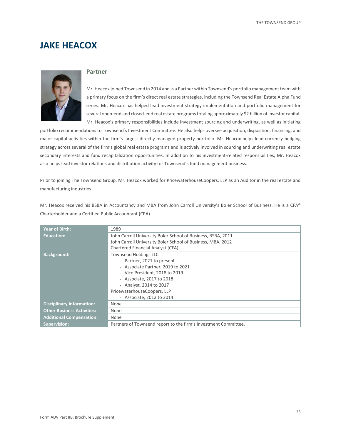### **JAKE HEACOX**



#### **Partner**

Mr. Heacox joined Townsend in 2014 and is a Partner within Townsend's portfolio management team with a primary focus on the firm's direct real estate strategies, including the Townsend Real Estate Alpha Fund series. Mr. Heacox has helped lead investment strategy implementation and portfolio management for several open-end and closed-end real estate programs totaling approximately \$2 billion of investor capital. Mr. Heacox's primary responsibilities include investment sourcing and underwriting, as well as initiating

portfolio recommendations to Townsend's Investment Committee. He also helps oversee acquisition, disposition, financing, and major capital activities within the firm's largest directly-managed property portfolio. Mr. Heacox helps lead currency hedging strategy across several of the firm's global real estate programs and is actively involved in sourcing and underwriting real estate secondary interests and fund recapitalization opportunities. In addition to his investment-related responsibilities, Mr. Heacox also helps lead investor relations and distribution activity for Townsend's fund management business.

Prior to joining The Townsend Group, Mr. Heacox worked for PricewaterhouseCoopers, LLP as an Auditor in the real estate and manufacturing industries.

Mr. Heacox received his BSBA in Accountancy and MBA from John Carroll University's Boler School of Business. He is a CFA® Charterholder and a Certified Public Accountant (CPA).

| <b>Year of Birth:</b>             | 1989                                                            |
|-----------------------------------|-----------------------------------------------------------------|
| <b>Education:</b>                 | John Carroll University Boler School of Business, BSBA, 2011    |
|                                   | John Carroll University Boler School of Business, MBA, 2012     |
|                                   | Chartered Financial Analyst (CFA)                               |
| <b>Background:</b>                | <b>Townsend Holdings LLC</b>                                    |
|                                   | - Partner, 2021 to present                                      |
|                                   | - Associate Partner, 2019 to 2021                               |
|                                   | - Vice President, 2018 to 2019                                  |
|                                   | - Associate, 2017 to 2018                                       |
|                                   | - Analyst, 2014 to 2017                                         |
|                                   | PricewaterhouseCoopers, LLP                                     |
|                                   | - Associate, 2012 to 2014                                       |
| <b>Disciplinary Information:</b>  | None                                                            |
| <b>Other Business Activities:</b> | None                                                            |
| <b>Additional Compensation:</b>   | None                                                            |
| <b>Supervision:</b>               | Partners of Townsend report to the firm's Investment Committee. |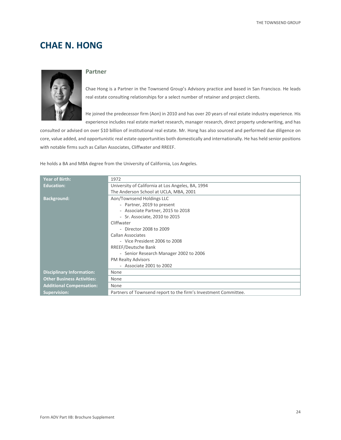# **CHAE N. HONG**



#### **Partner**

Chae Hong is a Partner in the Townsend Group's Advisory practice and based in San Francisco. He leads real estate consulting relationships for a select number of retainer and project clients.

He joined the predecessor firm (Aon) in 2010 and has over 20 years of real estate industry experience. His experience includes real estate market research, manager research, direct property underwriting, and has

consulted or advised on over \$10 billion of institutional real estate. Mr. Hong has also sourced and performed due diligence on core, value added, and opportunistic real estate opportunities both domestically and internationally. He has held senior positions with notable firms such as Callan Associates, Cliffwater and RREEF.

He holds a BA and MBA degree from the University of California, Los Angeles.

| <b>Year of Birth:</b>             | 1972                                                            |  |  |  |
|-----------------------------------|-----------------------------------------------------------------|--|--|--|
| <b>Education:</b>                 | University of California at Los Angeles, BA, 1994               |  |  |  |
|                                   | The Anderson School at UCLA, MBA, 2001                          |  |  |  |
| <b>Background:</b>                | Aon/Townsend Holdings LLC                                       |  |  |  |
|                                   | - Partner, 2019 to present                                      |  |  |  |
|                                   | - Associate Partner, 2015 to 2018                               |  |  |  |
|                                   | - Sr. Associate, 2010 to 2015                                   |  |  |  |
|                                   | Cliffwater                                                      |  |  |  |
|                                   | - Director 2008 to 2009                                         |  |  |  |
|                                   | Callan Associates                                               |  |  |  |
|                                   | - Vice President 2006 to 2008                                   |  |  |  |
|                                   | RREEF/Deutsche Bank                                             |  |  |  |
|                                   | - Senior Research Manager 2002 to 2006                          |  |  |  |
|                                   | <b>PM Realty Advisors</b>                                       |  |  |  |
|                                   | - Associate 2001 to 2002                                        |  |  |  |
| <b>Disciplinary Information:</b>  | None                                                            |  |  |  |
| <b>Other Business Activities:</b> | None                                                            |  |  |  |
| <b>Additional Compensation:</b>   | None                                                            |  |  |  |
| <b>Supervision:</b>               | Partners of Townsend report to the firm's Investment Committee. |  |  |  |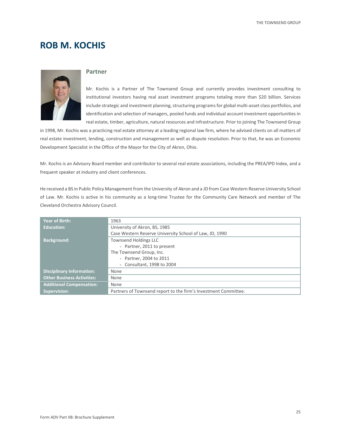### **ROB M. KOCHIS**



#### **Partner**

Mr. Kochis is a Partner of The Townsend Group and currently provides investment consulting to institutional investors having real asset investment programs totaling more than \$20 billion. Services include strategic and investment planning, structuring programs for global multi-asset class portfolios, and identification and selection of managers, pooled funds and individual account investment opportunities in real estate, timber, agriculture, natural resources and infrastructure. Prior to joining The Townsend Group

in 1998, Mr. Kochis was a practicing real estate attorney at a leading regional law firm, where he advised clients on all matters of real estate investment, lending, construction and management as well as dispute resolution. Prior to that, he was an Economic Development Specialist in the Office of the Mayor for the City of Akron, Ohio.

Mr. Kochis is an Advisory Board member and contributor to several real estate associations, including the PREA/IPD Index, and a frequent speaker at industry and client conferences.

He received a BS in Public Policy Management from the University of Akron and a JD from Case Western Reserve University School of Law. Mr. Kochis is active in his community as a long-time Trustee for the Community Care Network and member of The Cleveland Orchestra Advisory Council.

| <b>Year of Birth:</b>             | 1963                                                            |  |
|-----------------------------------|-----------------------------------------------------------------|--|
| <b>Education:</b>                 | University of Akron, BS, 1985                                   |  |
|                                   | Case Western Reserve University School of Law, JD, 1990         |  |
| <b>Background:</b>                | <b>Townsend Holdings LLC</b>                                    |  |
|                                   | - Partner, 2011 to present                                      |  |
|                                   | The Townsend Group, Inc.                                        |  |
|                                   | - Partner, 2004 to 2011                                         |  |
|                                   | - Consultant, 1998 to 2004                                      |  |
| <b>Disciplinary Information:</b>  | None                                                            |  |
| <b>Other Business Activities:</b> | None                                                            |  |
| <b>Additional Compensation:</b>   | None                                                            |  |
| <b>Supervision:</b>               | Partners of Townsend report to the firm's Investment Committee. |  |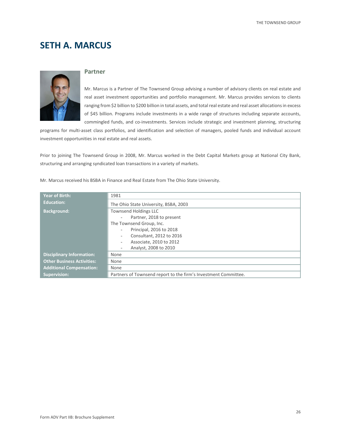# **SETH A. MARCUS**



#### **Partner**

Mr. Marcus is a Partner of The Townsend Group advising a number of advisory clients on real estate and real asset investment opportunities and portfolio management. Mr. Marcus provides services to clients ranging from \$2 billion to \$200 billion in total assets, and total real estate and real asset allocations in excess of \$45 billion. Programs include investments in a wide range of structures including separate accounts, commingled funds, and co-investments. Services include strategic and investment planning, structuring

programs for multi-asset class portfolios, and identification and selection of managers, pooled funds and individual account investment opportunities in real estate and real assets.

Prior to joining The Townsend Group in 2008, Mr. Marcus worked in the Debt Capital Markets group at National City Bank, structuring and arranging syndicated loan transactions in a variety of markets.

|  |  |  |  |  |  | Mr. Marcus received his BSBA in Finance and Real Estate from The Ohio State University. |  |  |  |
|--|--|--|--|--|--|-----------------------------------------------------------------------------------------|--|--|--|
|--|--|--|--|--|--|-----------------------------------------------------------------------------------------|--|--|--|

| <b>Year of Birth:</b>             | 1981                                                            |  |  |
|-----------------------------------|-----------------------------------------------------------------|--|--|
| <b>Education:</b>                 | The Ohio State University, BSBA, 2003                           |  |  |
| <b>Background:</b>                | <b>Townsend Holdings LLC</b>                                    |  |  |
|                                   | Partner, 2018 to present                                        |  |  |
|                                   | The Townsend Group, Inc.                                        |  |  |
|                                   | Principal, 2016 to 2018<br>$\overline{\phantom{a}}$             |  |  |
|                                   | Consultant, 2012 to 2016<br>$\overline{\phantom{a}}$            |  |  |
|                                   | Associate, 2010 to 2012                                         |  |  |
|                                   | Analyst, 2008 to 2010                                           |  |  |
| <b>Disciplinary Information:</b>  | None                                                            |  |  |
| <b>Other Business Activities:</b> | None                                                            |  |  |
| <b>Additional Compensation:</b>   | None                                                            |  |  |
| <b>Supervision:</b>               | Partners of Townsend report to the firm's Investment Committee. |  |  |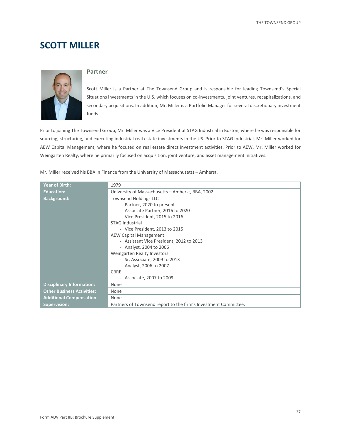### **SCOTT MILLER**



#### **Partner**

Scott Miller is a Partner at The Townsend Group and is responsible for leading Townsend's Special Situations investments in the U.S. which focuses on co-investments, joint ventures, recapitalizations, and secondary acquisitions. In addition, Mr. Miller is a Portfolio Manager for several discretionary investment funds.

Prior to joining The Townsend Group, Mr. Miller was a Vice President at STAG Industrial in Boston, where he was responsible for sourcing, structuring, and executing industrial real estate investments in the US. Prior to STAG Industrial, Mr. Miller worked for AEW Capital Management, where he focused on real estate direct investment activities. Prior to AEW, Mr. Miller worked for Weingarten Realty, where he primarily focused on acquisition, joint venture, and asset management initiatives.

Mr. Miller received his BBA in Finance from the University of Massachusetts – Amherst.

| <b>Year of Birth:</b>             | 1979                                                            |  |  |  |
|-----------------------------------|-----------------------------------------------------------------|--|--|--|
| <b>Education:</b>                 | University of Massachusetts - Amherst, BBA, 2002                |  |  |  |
| <b>Background:</b>                | <b>Townsend Holdings LLC</b>                                    |  |  |  |
|                                   | - Partner, 2020 to present                                      |  |  |  |
|                                   | - Associate Partner, 2016 to 2020                               |  |  |  |
|                                   | - Vice President, 2015 to 2016                                  |  |  |  |
|                                   | <b>STAG Industrial</b>                                          |  |  |  |
|                                   | - Vice President, 2013 to 2015                                  |  |  |  |
|                                   | <b>AEW Capital Management</b>                                   |  |  |  |
|                                   | - Assistant Vice President, 2012 to 2013                        |  |  |  |
|                                   | - Analyst, 2004 to 2006                                         |  |  |  |
|                                   | Weingarten Realty Investors                                     |  |  |  |
|                                   | - Sr. Associate, 2009 to 2013                                   |  |  |  |
|                                   | - Analyst, 2006 to 2007                                         |  |  |  |
|                                   | <b>CBRE</b>                                                     |  |  |  |
|                                   | - Associate, 2007 to 2009                                       |  |  |  |
| <b>Disciplinary Information:</b>  | None                                                            |  |  |  |
| <b>Other Business Activities:</b> | None                                                            |  |  |  |
| <b>Additional Compensation:</b>   | None                                                            |  |  |  |
| <b>Supervision:</b>               | Partners of Townsend report to the firm's Investment Committee. |  |  |  |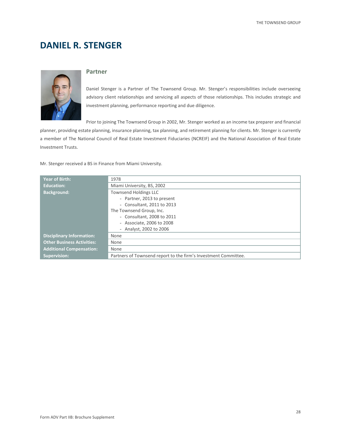# **DANIEL R. STENGER**



#### **Partner**

Daniel Stenger is a Partner of The Townsend Group. Mr. Stenger's responsibilities include overseeing advisory client relationships and servicing all aspects of those relationships. This includes strategic and investment planning, performance reporting and due diligence.

Prior to joining The Townsend Group in 2002, Mr. Stenger worked as an income tax preparer and financial

planner, providing estate planning, insurance planning, tax planning, and retirement planning for clients. Mr. Stenger is currently a member of The National Council of Real Estate Investment Fiduciaries (NCREIF) and the National Association of Real Estate Investment Trusts.

Mr. Stenger received a BS in Finance from Miami University.

| <b>Year of Birth:</b>             | 1978                                                            |  |
|-----------------------------------|-----------------------------------------------------------------|--|
| Education:                        | Miami University, BS, 2002                                      |  |
| <b>Background:</b>                | <b>Townsend Holdings LLC</b>                                    |  |
|                                   | - Partner, 2013 to present                                      |  |
|                                   | - Consultant, 2011 to 2013                                      |  |
|                                   | The Townsend Group, Inc.                                        |  |
|                                   | - Consultant, 2008 to 2011                                      |  |
|                                   | - Associate, 2006 to 2008                                       |  |
|                                   | - Analyst, 2002 to 2006                                         |  |
| <b>Disciplinary Information:</b>  | None                                                            |  |
| <b>Other Business Activities:</b> | None                                                            |  |
| <b>Additional Compensation:</b>   | None                                                            |  |
| <b>Supervision:</b>               | Partners of Townsend report to the firm's Investment Committee. |  |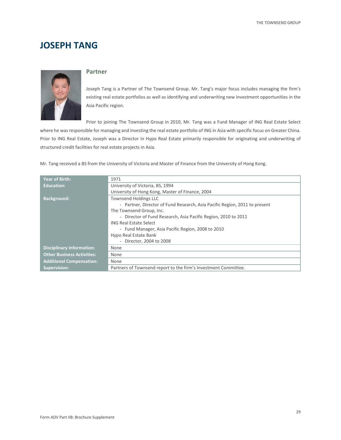### **JOSEPH TANG**



#### **Partner**

Joseph Tang is a Partner of The Townsend Group. Mr. Tang's major focus includes managing the firm's existing real estate portfolios as well as identifying and underwriting new investment opportunities in the Asia Pacific region.

Prior to joining The Townsend Group in 2010, Mr. Tang was a Fund Manager of ING Real Estate Select

where he was responsible for managing and investing the real estate portfolio of ING in Asia with specific focus on Greater China. Prior to ING Real Estate, Joseph was a Director in Hypo Real Estate primarily responsible for originating and underwriting of structured credit facilities for real estate projects in Asia.

Mr. Tang received a BS from the University of Victoria and Master of Finance from the University of Hong Kong.

| <b>Year of Birth:</b>             | 1971                                                                       |  |  |
|-----------------------------------|----------------------------------------------------------------------------|--|--|
| <b>Education:</b>                 | University of Victoria, BS, 1994                                           |  |  |
|                                   | University of Hong Kong, Master of Finance, 2004                           |  |  |
| <b>Background:</b>                | <b>Townsend Holdings LLC</b>                                               |  |  |
|                                   | - Partner, Director of Fund Research, Asia Pacific Region, 2011 to present |  |  |
|                                   | The Townsend Group, Inc.                                                   |  |  |
|                                   | - Director of Fund Research, Asia Pacific Region, 2010 to 2011             |  |  |
|                                   | <b>ING Real Estate Select</b>                                              |  |  |
|                                   | - Fund Manager, Asia Pacific Region, 2008 to 2010                          |  |  |
|                                   | Hypo Real Estate Bank                                                      |  |  |
|                                   | - Director, 2004 to 2008                                                   |  |  |
| <b>Disciplinary Information:</b>  | None                                                                       |  |  |
| <b>Other Business Activities:</b> | None                                                                       |  |  |
| <b>Additional Compensation:</b>   | None                                                                       |  |  |
| <b>Supervision:</b>               | Partners of Townsend report to the firm's Investment Committee.            |  |  |